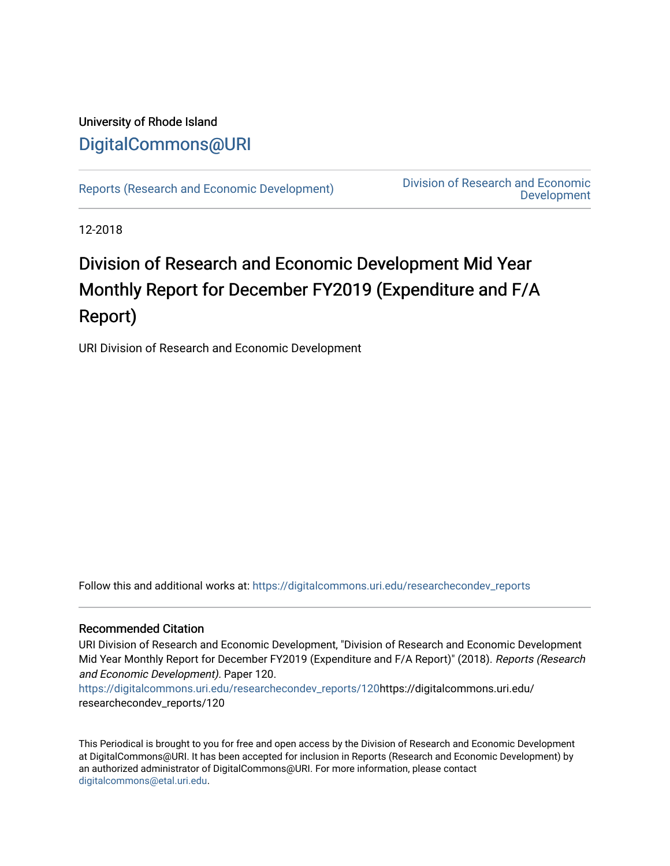## University of Rhode Island [DigitalCommons@URI](https://digitalcommons.uri.edu/)

[Reports \(Research and Economic Development\)](https://digitalcommons.uri.edu/researchecondev_reports) Division of Research and Economic [Development](https://digitalcommons.uri.edu/researchecondev) 

12-2018

## Division of Research and Economic Development Mid Year Monthly Report for December FY2019 (Expenditure and F/A Report)

URI Division of Research and Economic Development

Follow this and additional works at: [https://digitalcommons.uri.edu/researchecondev\\_reports](https://digitalcommons.uri.edu/researchecondev_reports?utm_source=digitalcommons.uri.edu%2Fresearchecondev_reports%2F120&utm_medium=PDF&utm_campaign=PDFCoverPages) 

#### Recommended Citation

URI Division of Research and Economic Development, "Division of Research and Economic Development Mid Year Monthly Report for December FY2019 (Expenditure and F/A Report)" (2018). Reports (Research and Economic Development). Paper 120.

[https://digitalcommons.uri.edu/researchecondev\\_reports/120](https://digitalcommons.uri.edu/researchecondev_reports/120?utm_source=digitalcommons.uri.edu%2Fresearchecondev_reports%2F120&utm_medium=PDF&utm_campaign=PDFCoverPages)https://digitalcommons.uri.edu/ researchecondev\_reports/120

This Periodical is brought to you for free and open access by the Division of Research and Economic Development at DigitalCommons@URI. It has been accepted for inclusion in Reports (Research and Economic Development) by an authorized administrator of DigitalCommons@URI. For more information, please contact [digitalcommons@etal.uri.edu](mailto:digitalcommons@etal.uri.edu).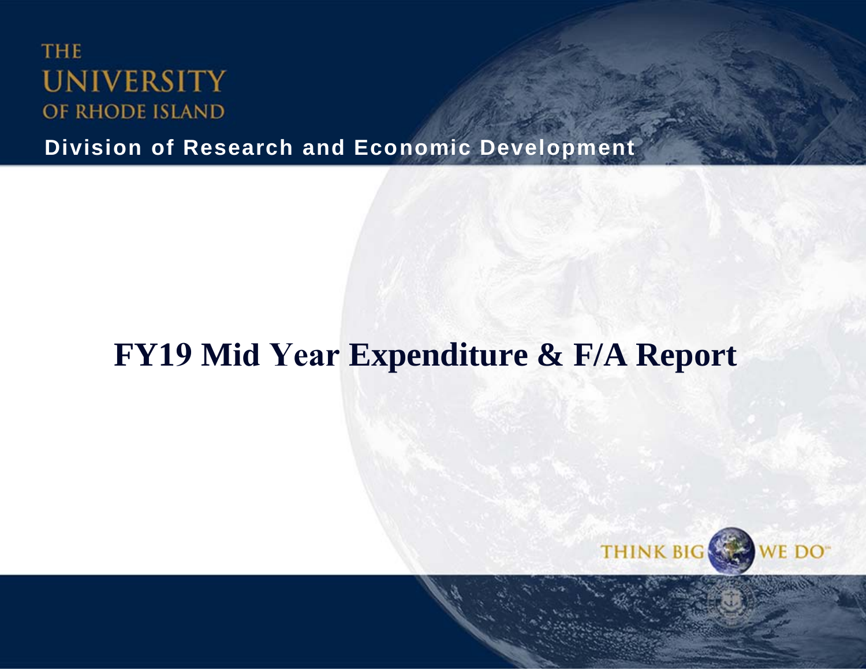# **THE UNIVERSITY** OF RHODE ISLAND

**Division of Research and Economic Development**

# **FY19 <sup>M</sup>id Year Expenditure & F/A Report**

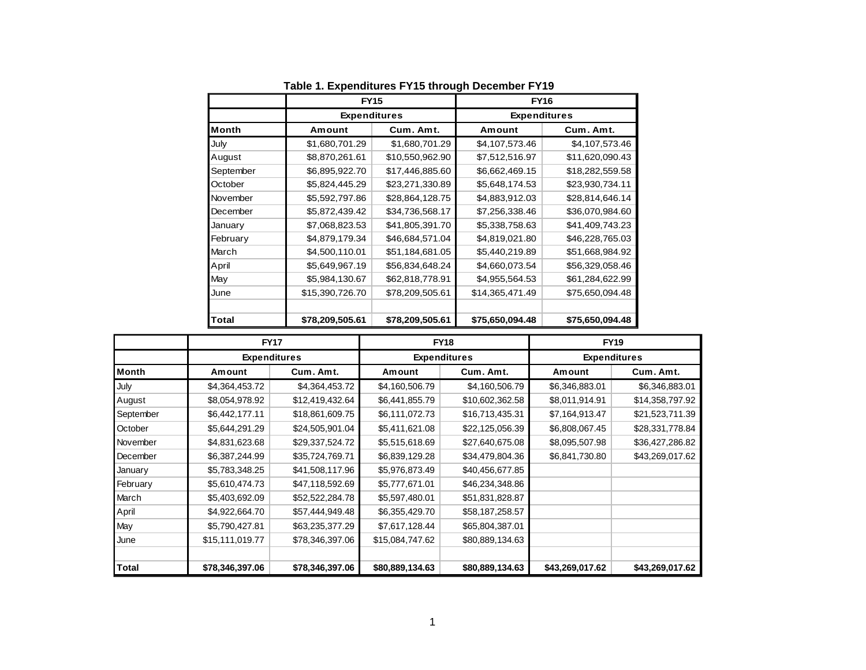|              | <b>FY15</b>         |                 | <b>FY16</b>         |                 |  |  |
|--------------|---------------------|-----------------|---------------------|-----------------|--|--|
|              | <b>Expenditures</b> |                 | <b>Expenditures</b> |                 |  |  |
| <b>Month</b> | Amount              | Cum. Amt.       | Amount              | Cum. Amt.       |  |  |
| July         | \$1,680,701.29      | \$1,680,701.29  | \$4,107,573.46      | \$4,107,573.46  |  |  |
| August       | \$8,870,261.61      | \$10,550,962.90 | \$7,512,516.97      | \$11,620,090.43 |  |  |
| September    | \$6,895,922.70      | \$17,446,885.60 | \$6,662,469.15      | \$18,282,559.58 |  |  |
| October      | \$5,824,445.29      | \$23,271,330.89 | \$5,648,174.53      | \$23,930,734.11 |  |  |
| November     | \$5,592,797.86      | \$28,864,128.75 | \$4,883,912.03      | \$28,814,646.14 |  |  |
| December     | \$5,872,439.42      | \$34,736,568.17 | \$7,256,338.46      | \$36,070,984.60 |  |  |
| January      | \$7,068,823.53      | \$41,805,391.70 | \$5,338,758.63      | \$41,409,743.23 |  |  |
| February     | \$4,879,179.34      | \$46,684,571.04 | \$4,819,021.80      | \$46,228,765.03 |  |  |
| March        | \$4,500,110.01      | \$51,184,681.05 | \$5,440,219.89      | \$51,668,984.92 |  |  |
| April        | \$5,649,967.19      | \$56,834,648.24 | \$4,660,073.54      | \$56,329,058.46 |  |  |
| May          | \$5,984,130.67      | \$62,818,778.91 | \$4,955,564.53      | \$61,284,622.99 |  |  |
| June         | \$15,390,726.70     | \$78,209,505.61 | \$14,365,471.49     | \$75,650,094.48 |  |  |
| <b>Total</b> | \$78,209,505.61     | \$78,209,505.61 | \$75,650,094.48     | \$75,650,094.48 |  |  |

**Table 1. Expenditures FY15 through December FY19**

|              |                 | <b>FY17</b><br><b>Expenditures</b> |                 | <b>FY18</b>         | <b>FY19</b><br><b>Expenditures</b> |                 |  |
|--------------|-----------------|------------------------------------|-----------------|---------------------|------------------------------------|-----------------|--|
|              |                 |                                    |                 | <b>Expenditures</b> |                                    |                 |  |
| <b>Month</b> | Amount          | Cum. Amt.                          | Amount          | Cum. Amt.           | Amount                             | Cum. Amt.       |  |
| July         | \$4,364,453.72  | \$4,364,453.72                     | \$4,160,506.79  | \$4,160,506.79      | \$6,346,883.01                     | \$6,346,883.01  |  |
| August       | \$8,054,978.92  | \$12,419,432.64                    | \$6,441,855.79  | \$10,602,362.58     | \$8,011,914.91                     | \$14,358,797.92 |  |
| September    | \$6,442,177.11  | \$18,861,609.75                    | \$6,111,072.73  | \$16,713,435.31     | \$7,164,913.47                     | \$21,523,711.39 |  |
| October      | \$5,644,291.29  | \$24,505,901.04                    | \$5,411,621.08  | \$22,125,056.39     | \$6,808,067.45                     | \$28,331,778.84 |  |
| November     | \$4,831,623.68  | \$29,337,524.72                    | \$5,515,618.69  | \$27,640,675.08     | \$8,095,507.98                     | \$36,427,286.82 |  |
| December     | \$6,387,244.99  | \$35,724,769.71                    | \$6,839,129.28  | \$34,479,804.36     | \$6,841,730.80                     | \$43,269,017.62 |  |
| January      | \$5,783,348.25  | \$41,508,117.96                    | \$5,976,873.49  | \$40,456,677.85     |                                    |                 |  |
| February     | \$5,610,474.73  | \$47,118,592.69                    | \$5,777,671.01  | \$46,234,348.86     |                                    |                 |  |
| March        | \$5,403,692.09  | \$52,522,284.78                    | \$5,597,480.01  | \$51,831,828.87     |                                    |                 |  |
| April        | \$4,922,664.70  | \$57,444,949.48                    | \$6,355,429.70  | \$58,187,258.57     |                                    |                 |  |
| May          | \$5,790,427.81  | \$63,235,377.29                    | \$7,617,128.44  | \$65,804,387.01     |                                    |                 |  |
| June         | \$15,111,019.77 | \$78,346,397.06                    | \$15,084,747.62 | \$80,889,134.63     |                                    |                 |  |
| Total        | \$78,346,397.06 | \$78,346,397.06                    | \$80,889,134.63 | \$80,889,134.63     | \$43,269,017.62                    | \$43,269,017.62 |  |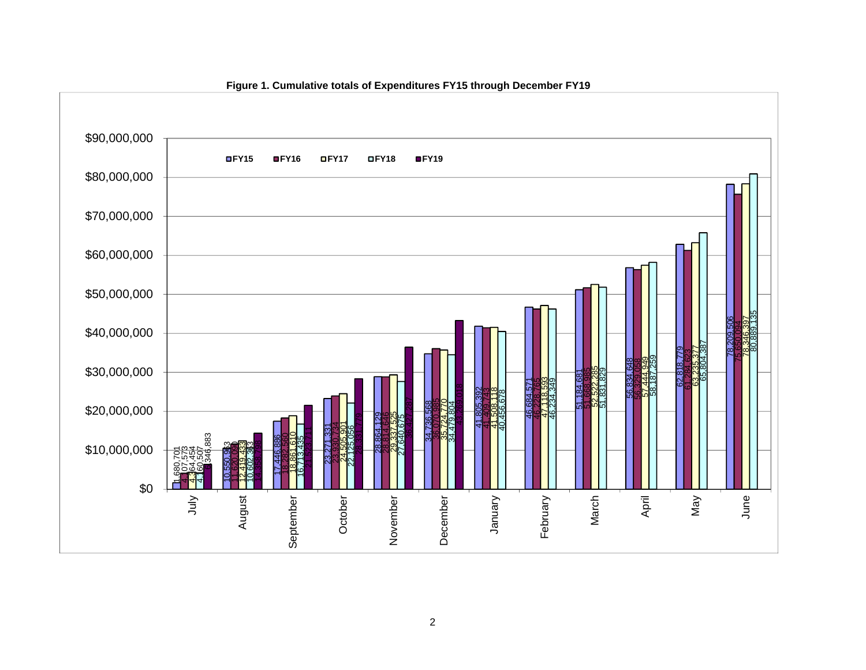

#### **Figure 1. Cumulative totals of Expenditures FY15 through December FY19**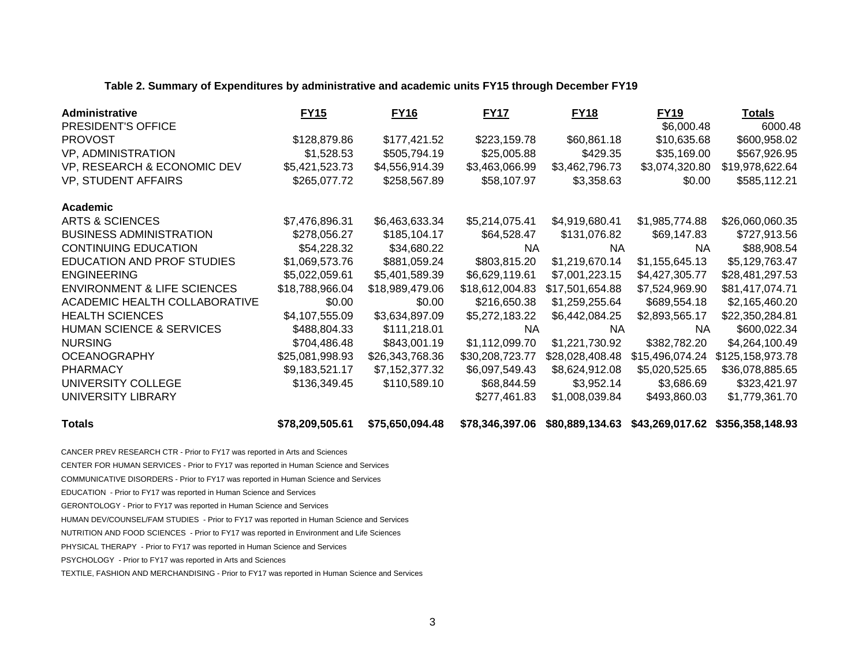#### **Table 2. Summary of Expenditures by administrative and academic units FY15 through December FY19**

| Administrative                         | <b>FY15</b>     | <b>FY16</b>     | <b>FY17</b>     | <b>FY18</b>     | <b>FY19</b>     | <b>Totals</b>    |
|----------------------------------------|-----------------|-----------------|-----------------|-----------------|-----------------|------------------|
| PRESIDENT'S OFFICE                     |                 |                 |                 |                 | \$6,000.48      | 6000.48          |
| <b>PROVOST</b>                         | \$128,879.86    | \$177,421.52    | \$223,159.78    | \$60,861.18     | \$10,635.68     | \$600,958.02     |
| VP, ADMINISTRATION                     | \$1,528.53      | \$505,794.19    | \$25,005.88     | \$429.35        | \$35,169.00     | \$567,926.95     |
| VP, RESEARCH & ECONOMIC DEV            | \$5,421,523.73  | \$4,556,914.39  | \$3,463,066.99  | \$3,462,796.73  | \$3,074,320.80  | \$19,978,622.64  |
| <b>VP, STUDENT AFFAIRS</b>             | \$265,077.72    | \$258,567.89    | \$58,107.97     | \$3,358.63      | \$0.00          | \$585,112.21     |
| <b>Academic</b>                        |                 |                 |                 |                 |                 |                  |
| <b>ARTS &amp; SCIENCES</b>             | \$7,476,896.31  | \$6,463,633.34  | \$5,214,075.41  | \$4,919,680.41  | \$1,985,774.88  | \$26,060,060.35  |
| <b>BUSINESS ADMINISTRATION</b>         | \$278,056.27    | \$185,104.17    | \$64,528.47     | \$131,076.82    | \$69,147.83     | \$727,913.56     |
| <b>CONTINUING EDUCATION</b>            | \$54,228.32     | \$34,680.22     | <b>NA</b>       | NA.             | NA.             | \$88,908.54      |
| EDUCATION AND PROF STUDIES             | \$1,069,573.76  | \$881,059.24    | \$803,815.20    | \$1,219,670.14  | \$1,155,645.13  | \$5,129,763.47   |
| <b>ENGINEERING</b>                     | \$5,022,059.61  | \$5,401,589.39  | \$6,629,119.61  | \$7,001,223.15  | \$4,427,305.77  | \$28,481,297.53  |
| <b>ENVIRONMENT &amp; LIFE SCIENCES</b> | \$18,788,966.04 | \$18,989,479.06 | \$18,612,004.83 | \$17,501,654.88 | \$7,524,969.90  | \$81,417,074.71  |
| ACADEMIC HEALTH COLLABORATIVE          | \$0.00          | \$0.00          | \$216,650.38    | \$1,259,255.64  | \$689,554.18    | \$2,165,460.20   |
| <b>HEALTH SCIENCES</b>                 | \$4,107,555.09  | \$3,634,897.09  | \$5,272,183.22  | \$6,442,084.25  | \$2,893,565.17  | \$22,350,284.81  |
| <b>HUMAN SCIENCE &amp; SERVICES</b>    | \$488,804.33    | \$111,218.01    | <b>NA</b>       | NA.             | NA.             | \$600,022.34     |
| <b>NURSING</b>                         | \$704,486.48    | \$843,001.19    | \$1,112,099.70  | \$1,221,730.92  | \$382,782.20    | \$4,264,100.49   |
| <b>OCEANOGRAPHY</b>                    | \$25,081,998.93 | \$26,343,768.36 | \$30,208,723.77 | \$28,028,408.48 | \$15,496,074.24 | \$125,158,973.78 |
| <b>PHARMACY</b>                        | \$9,183,521.17  | \$7,152,377.32  | \$6,097,549.43  | \$8,624,912.08  | \$5,020,525.65  | \$36,078,885.65  |
| UNIVERSITY COLLEGE                     | \$136,349.45    | \$110,589.10    | \$68,844.59     | \$3,952.14      | \$3,686.69      | \$323,421.97     |
| UNIVERSITY LIBRARY                     |                 |                 | \$277,461.83    | \$1,008,039.84  | \$493,860.03    | \$1,779,361.70   |

**Totals \$78,209,505.61 \$75,650,094.48 \$78,346,397.06 \$80,889,134.63 \$43,269,017.62 \$356,358,148.93**

CANCER PREV RESEARCH CTR - Prior to FY17 was reported in Arts and Sciences

CENTER FOR HUMAN SERVICES - Prior to FY17 was reported in Human Science and Services

COMMUNICATIVE DISORDERS - Prior to FY17 was reported in Human Science and Services

EDUCATION - Prior to FY17 was reported in Human Science and Services

GERONTOLOGY - Prior to FY17 was reported in Human Science and Services

HUMAN DEV/COUNSEL/FAM STUDIES - Prior to FY17 was reported in Human Science and Services

NUTRITION AND FOOD SCIENCES - Prior to FY17 was reported in Environment and Life Sciences

PHYSICAL THERAPY - Prior to FY17 was reported in Human Science and Services

PSYCHOLOGY - Prior to FY17 was reported in Arts and Sciences

TEXTILE, FASHION AND MERCHANDISING - Prior to FY17 was reported in Human Science and Services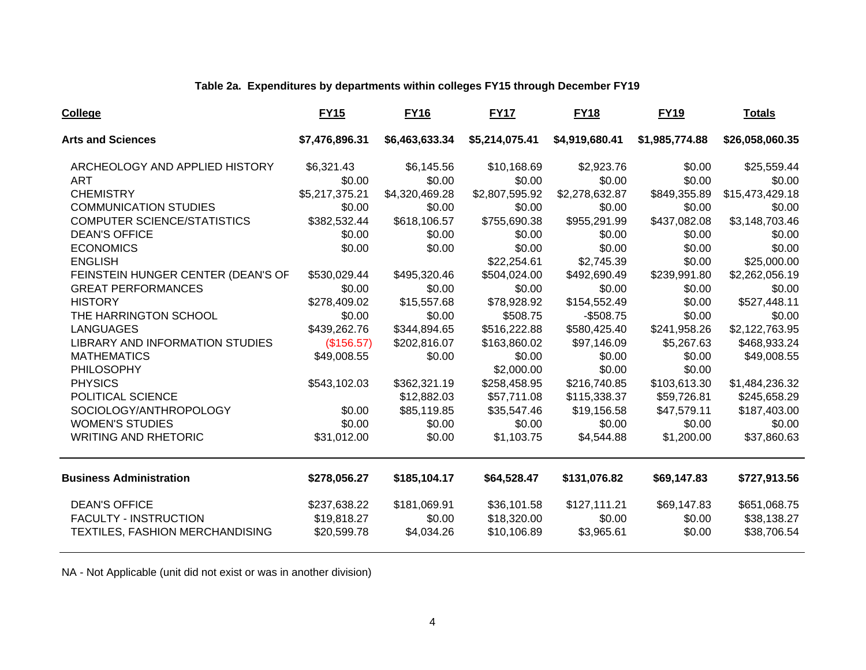#### **Table 2a. Expenditures by departments within colleges FY15 through December FY19**

| <b>College</b>                         | <b>FY15</b>    | <b>FY16</b>    | <b>FY17</b>    | <b>FY18</b>    | <b>FY19</b>    | <b>Totals</b>   |
|----------------------------------------|----------------|----------------|----------------|----------------|----------------|-----------------|
| <b>Arts and Sciences</b>               | \$7,476,896.31 | \$6,463,633.34 | \$5,214,075.41 | \$4,919,680.41 | \$1,985,774.88 | \$26,058,060.35 |
| ARCHEOLOGY AND APPLIED HISTORY         | \$6,321.43     | \$6,145.56     | \$10,168.69    | \$2,923.76     | \$0.00         | \$25,559.44     |
| <b>ART</b>                             | \$0.00         | \$0.00         | \$0.00         | \$0.00         | \$0.00         | \$0.00          |
| <b>CHEMISTRY</b>                       | \$5,217,375.21 | \$4,320,469.28 | \$2,807,595.92 | \$2,278,632.87 | \$849,355.89   | \$15,473,429.18 |
| <b>COMMUNICATION STUDIES</b>           | \$0.00         | \$0.00         | \$0.00         | \$0.00         | \$0.00         | \$0.00          |
| <b>COMPUTER SCIENCE/STATISTICS</b>     | \$382,532.44   | \$618,106.57   | \$755,690.38   | \$955,291.99   | \$437,082.08   | \$3,148,703.46  |
| <b>DEAN'S OFFICE</b>                   | \$0.00         | \$0.00         | \$0.00         | \$0.00         | \$0.00         | \$0.00          |
| <b>ECONOMICS</b>                       | \$0.00         | \$0.00         | \$0.00         | \$0.00         | \$0.00         | \$0.00          |
| <b>ENGLISH</b>                         |                |                | \$22,254.61    | \$2,745.39     | \$0.00         | \$25,000.00     |
| FEINSTEIN HUNGER CENTER (DEAN'S OF     | \$530,029.44   | \$495,320.46   | \$504,024.00   | \$492,690.49   | \$239,991.80   | \$2,262,056.19  |
| <b>GREAT PERFORMANCES</b>              | \$0.00         | \$0.00         | \$0.00         | \$0.00         | \$0.00         | \$0.00          |
| <b>HISTORY</b>                         | \$278,409.02   | \$15,557.68    | \$78,928.92    | \$154,552.49   | \$0.00         | \$527,448.11    |
| THE HARRINGTON SCHOOL                  | \$0.00         | \$0.00         | \$508.75       | $-$508.75$     | \$0.00         | \$0.00          |
| <b>LANGUAGES</b>                       | \$439,262.76   | \$344,894.65   | \$516,222.88   | \$580,425.40   | \$241,958.26   | \$2,122,763.95  |
| <b>LIBRARY AND INFORMATION STUDIES</b> | (\$156.57)     | \$202,816.07   | \$163,860.02   | \$97,146.09    | \$5,267.63     | \$468,933.24    |
| <b>MATHEMATICS</b>                     | \$49,008.55    | \$0.00         | \$0.00         | \$0.00         | \$0.00         | \$49,008.55     |
| PHILOSOPHY                             |                |                | \$2,000.00     | \$0.00         | \$0.00         |                 |
| <b>PHYSICS</b>                         | \$543,102.03   | \$362,321.19   | \$258,458.95   | \$216,740.85   | \$103,613.30   | \$1,484,236.32  |
| POLITICAL SCIENCE                      |                | \$12,882.03    | \$57,711.08    | \$115,338.37   | \$59,726.81    | \$245,658.29    |
| SOCIOLOGY/ANTHROPOLOGY                 | \$0.00         | \$85,119.85    | \$35,547.46    | \$19,156.58    | \$47,579.11    | \$187,403.00    |
| <b>WOMEN'S STUDIES</b>                 | \$0.00         | \$0.00         | \$0.00         | \$0.00         | \$0.00         | \$0.00          |
| <b>WRITING AND RHETORIC</b>            | \$31,012.00    | \$0.00         | \$1,103.75     | \$4,544.88     | \$1,200.00     | \$37,860.63     |
| <b>Business Administration</b>         | \$278,056.27   | \$185,104.17   | \$64,528.47    | \$131,076.82   | \$69,147.83    | \$727,913.56    |
| <b>DEAN'S OFFICE</b>                   | \$237,638.22   | \$181,069.91   | \$36,101.58    | \$127,111.21   | \$69,147.83    | \$651,068.75    |
| <b>FACULTY - INSTRUCTION</b>           | \$19,818.27    | \$0.00         | \$18,320.00    | \$0.00         | \$0.00         | \$38,138.27     |
| <b>TEXTILES, FASHION MERCHANDISING</b> | \$20,599.78    | \$4,034.26     | \$10,106.89    | \$3,965.61     | \$0.00         | \$38,706.54     |

NA - Not Applicable (unit did not exist or was in another division)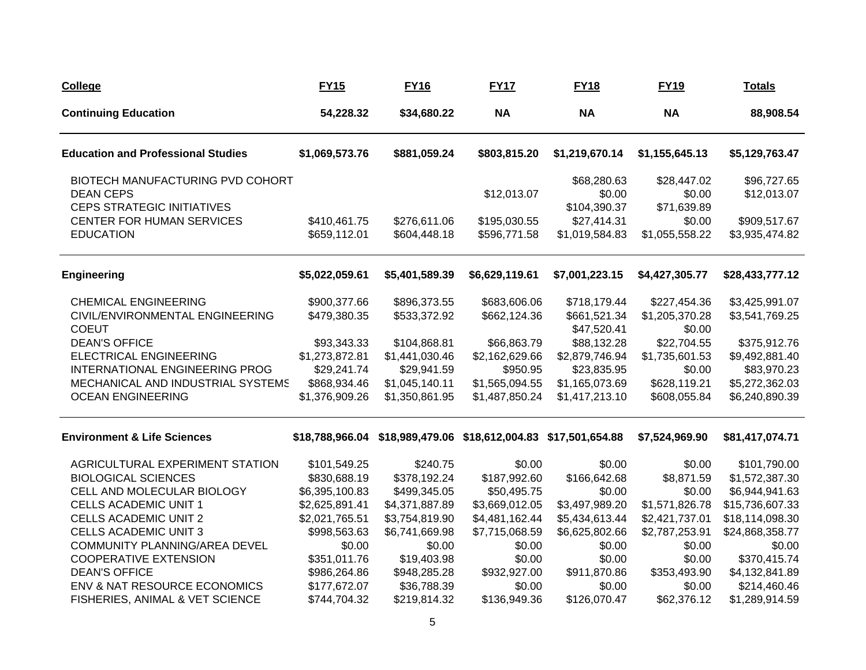| <b>College</b>                                                                            | <b>FY15</b>                  | <b>FY16</b>                  | <b>FY17</b>                                                     | <b>FY18</b>                                   | <b>FY19</b>                             | <b>Totals</b>                  |
|-------------------------------------------------------------------------------------------|------------------------------|------------------------------|-----------------------------------------------------------------|-----------------------------------------------|-----------------------------------------|--------------------------------|
| <b>Continuing Education</b>                                                               | 54,228.32                    | \$34,680.22                  | <b>NA</b>                                                       | <b>NA</b>                                     | <b>NA</b>                               | 88,908.54                      |
| <b>Education and Professional Studies</b>                                                 | \$1,069,573.76               | \$881,059.24                 | \$803,815.20                                                    | \$1,219,670.14                                | \$1,155,645.13                          | \$5,129,763.47                 |
| BIOTECH MANUFACTURING PVD COHORT<br><b>DEAN CEPS</b><br><b>CEPS STRATEGIC INITIATIVES</b> |                              |                              | \$12,013.07                                                     | \$68,280.63<br>\$0.00                         | \$28,447.02<br>\$0.00                   | \$96,727.65<br>\$12,013.07     |
| CENTER FOR HUMAN SERVICES<br><b>EDUCATION</b>                                             | \$410,461.75<br>\$659,112.01 | \$276,611.06<br>\$604,448.18 | \$195,030.55<br>\$596,771.58                                    | \$104,390.37<br>\$27,414.31<br>\$1,019,584.83 | \$71,639.89<br>\$0.00<br>\$1,055,558.22 | \$909,517.67<br>\$3,935,474.82 |
| <b>Engineering</b>                                                                        | \$5,022,059.61               | \$5,401,589.39               | \$6,629,119.61                                                  | \$7,001,223.15                                | \$4,427,305.77                          | \$28,433,777.12                |
| <b>CHEMICAL ENGINEERING</b>                                                               | \$900,377.66                 | \$896,373.55                 | \$683,606.06                                                    | \$718,179.44                                  | \$227,454.36                            | \$3,425,991.07                 |
| CIVIL/ENVIRONMENTAL ENGINEERING<br><b>COEUT</b>                                           | \$479,380.35                 | \$533,372.92                 | \$662,124.36                                                    | \$661,521.34<br>\$47,520.41                   | \$1,205,370.28<br>\$0.00                | \$3,541,769.25                 |
| <b>DEAN'S OFFICE</b>                                                                      | \$93,343.33                  | \$104,868.81                 | \$66,863.79                                                     | \$88,132.28                                   | \$22,704.55                             | \$375,912.76                   |
| <b>ELECTRICAL ENGINEERING</b>                                                             | \$1,273,872.81               | \$1,441,030.46               | \$2,162,629.66                                                  | \$2,879,746.94                                | \$1,735,601.53                          | \$9,492,881.40                 |
| INTERNATIONAL ENGINEERING PROG                                                            | \$29,241.74                  | \$29,941.59                  | \$950.95                                                        | \$23,835.95                                   | \$0.00                                  | \$83,970.23                    |
| MECHANICAL AND INDUSTRIAL SYSTEMS                                                         | \$868,934.46                 | \$1,045,140.11               | \$1,565,094.55                                                  | \$1,165,073.69                                | \$628,119.21                            | \$5,272,362.03                 |
| <b>OCEAN ENGINEERING</b>                                                                  | \$1,376,909.26               | \$1,350,861.95               | \$1,487,850.24                                                  | \$1,417,213.10                                | \$608,055.84                            | \$6,240,890.39                 |
| <b>Environment &amp; Life Sciences</b>                                                    |                              |                              | \$18,788,966.04 \$18,989,479.06 \$18,612,004.83 \$17,501,654.88 |                                               | \$7,524,969.90                          | \$81,417,074.71                |
| AGRICULTURAL EXPERIMENT STATION                                                           | \$101,549.25                 | \$240.75                     | \$0.00                                                          | \$0.00                                        | \$0.00                                  | \$101,790.00                   |
| <b>BIOLOGICAL SCIENCES</b>                                                                | \$830,688.19                 | \$378,192.24                 | \$187,992.60                                                    | \$166,642.68                                  | \$8,871.59                              | \$1,572,387.30                 |
| CELL AND MOLECULAR BIOLOGY                                                                | \$6,395,100.83               | \$499,345.05                 | \$50,495.75                                                     | \$0.00                                        | \$0.00                                  | \$6,944,941.63                 |
| CELLS ACADEMIC UNIT 1                                                                     | \$2,625,891.41               | \$4,371,887.89               | \$3,669,012.05                                                  | \$3,497,989.20                                | \$1,571,826.78                          | \$15,736,607.33                |
| <b>CELLS ACADEMIC UNIT 2</b>                                                              | \$2,021,765.51               | \$3,754,819.90               | \$4,481,162.44                                                  | \$5,434,613.44                                | \$2,421,737.01                          | \$18,114,098.30                |
| <b>CELLS ACADEMIC UNIT 3</b>                                                              | \$998,563.63                 | \$6,741,669.98               | \$7,715,068.59                                                  | \$6,625,802.66                                | \$2,787,253.91                          | \$24,868,358.77                |
| <b>COMMUNITY PLANNING/AREA DEVEL</b>                                                      | \$0.00                       | \$0.00                       | \$0.00                                                          | \$0.00                                        | \$0.00                                  | \$0.00                         |
| <b>COOPERATIVE EXTENSION</b>                                                              | \$351,011.76                 | \$19,403.98                  | \$0.00                                                          | \$0.00                                        | \$0.00                                  | \$370,415.74                   |
| <b>DEAN'S OFFICE</b>                                                                      | \$986,264.86                 | \$948,285.28                 | \$932,927.00                                                    | \$911,870.86                                  | \$353,493.90                            | \$4,132,841.89                 |
| ENV & NAT RESOURCE ECONOMICS                                                              | \$177,672.07                 | \$36,788.39                  | \$0.00                                                          | \$0.00                                        | \$0.00                                  | \$214,460.46                   |
| FISHERIES, ANIMAL & VET SCIENCE                                                           | \$744,704.32                 | \$219,814.32                 | \$136,949.36                                                    | \$126,070.47                                  | \$62,376.12                             | \$1,289,914.59                 |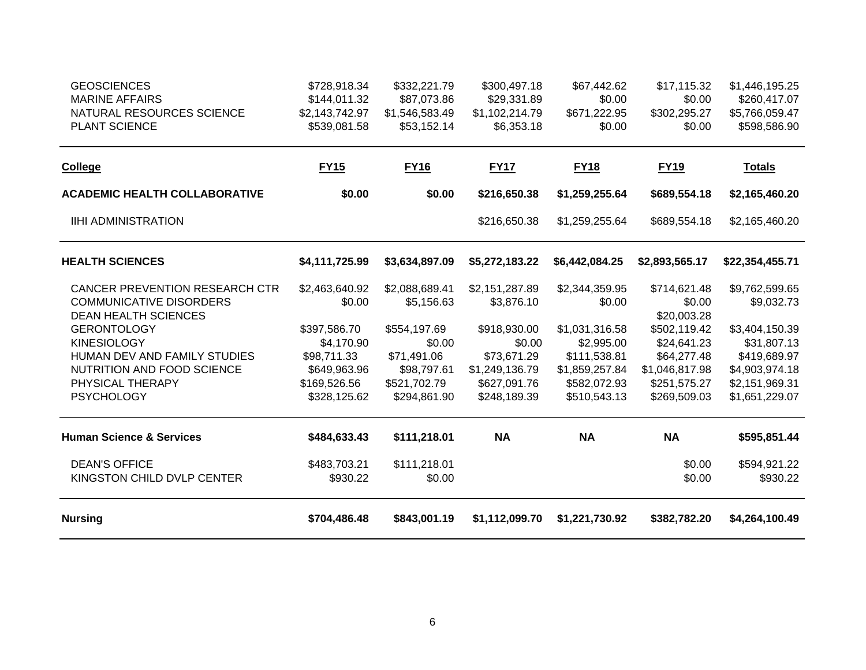| <b>GEOSCIENCES</b>                         | \$728,918.34                   | \$332,221.79                  | \$300,497.18                 | \$67,442.62            | \$17,115.32            | \$1,446,195.25                 |
|--------------------------------------------|--------------------------------|-------------------------------|------------------------------|------------------------|------------------------|--------------------------------|
| <b>MARINE AFFAIRS</b>                      | \$144,011.32                   | \$87,073.86                   | \$29,331.89                  | \$0.00                 | \$0.00                 | \$260,417.07                   |
| NATURAL RESOURCES SCIENCE<br>PLANT SCIENCE | \$2,143,742.97<br>\$539,081.58 | \$1,546,583.49<br>\$53,152.14 | \$1,102,214.79<br>\$6,353.18 | \$671,222.95<br>\$0.00 | \$302,295.27<br>\$0.00 | \$5,766,059.47<br>\$598,586.90 |
|                                            |                                |                               |                              |                        |                        |                                |
| <b>College</b>                             | <b>FY15</b>                    | <b>FY16</b>                   | <b>FY17</b>                  | <b>FY18</b>            | <b>FY19</b>            | <b>Totals</b>                  |
| <b>ACADEMIC HEALTH COLLABORATIVE</b>       | \$0.00                         | \$0.00                        | \$216,650.38                 | \$1,259,255.64         | \$689,554.18           | \$2,165,460.20                 |
| <b>IIHI ADMINISTRATION</b>                 |                                |                               | \$216,650.38                 | \$1,259,255.64         | \$689,554.18           | \$2,165,460.20                 |
| <b>HEALTH SCIENCES</b>                     | \$4,111,725.99                 | \$3,634,897.09                | \$5,272,183.22               | \$6,442,084.25         | \$2,893,565.17         | \$22,354,455.71                |
| <b>CANCER PREVENTION RESEARCH CTR</b>      | \$2,463,640.92                 | \$2,088,689.41                | \$2,151,287.89               | \$2,344,359.95         | \$714,621.48           | \$9,762,599.65                 |
| <b>COMMUNICATIVE DISORDERS</b>             | \$0.00                         | \$5,156.63                    | \$3,876.10                   | \$0.00                 | \$0.00                 | \$9,032.73                     |
| <b>DEAN HEALTH SCIENCES</b>                |                                |                               |                              |                        | \$20,003.28            |                                |
| <b>GERONTOLOGY</b>                         | \$397,586.70                   | \$554,197.69                  | \$918,930.00                 | \$1,031,316.58         | \$502,119.42           | \$3,404,150.39                 |
| <b>KINESIOLOGY</b>                         | \$4,170.90                     | \$0.00                        | \$0.00                       | \$2,995.00             | \$24,641.23            | \$31,807.13                    |
| HUMAN DEV AND FAMILY STUDIES               | \$98,711.33                    | \$71,491.06                   | \$73,671.29                  | \$111,538.81           | \$64,277.48            | \$419,689.97                   |
| NUTRITION AND FOOD SCIENCE                 | \$649,963.96                   | \$98,797.61                   | \$1,249,136.79               | \$1,859,257.84         | \$1,046,817.98         | \$4,903,974.18                 |
| PHYSICAL THERAPY                           | \$169,526.56                   | \$521,702.79                  | \$627,091.76                 | \$582,072.93           | \$251,575.27           | \$2,151,969.31                 |
| <b>PSYCHOLOGY</b>                          | \$328,125.62                   | \$294,861.90                  | \$248,189.39                 | \$510,543.13           | \$269,509.03           | \$1,651,229.07                 |
| <b>Human Science &amp; Services</b>        | \$484,633.43                   | \$111,218.01                  | <b>NA</b>                    | <b>NA</b>              | <b>NA</b>              | \$595,851.44                   |
| <b>DEAN'S OFFICE</b>                       | \$483,703.21                   | \$111,218.01                  |                              |                        | \$0.00                 | \$594,921.22                   |
| KINGSTON CHILD DVLP CENTER                 | \$930.22                       | \$0.00                        |                              |                        | \$0.00                 | \$930.22                       |
| <b>Nursing</b>                             | \$704,486.48                   | \$843,001.19                  | \$1,112,099.70               | \$1,221,730.92         | \$382,782.20           | \$4,264,100.49                 |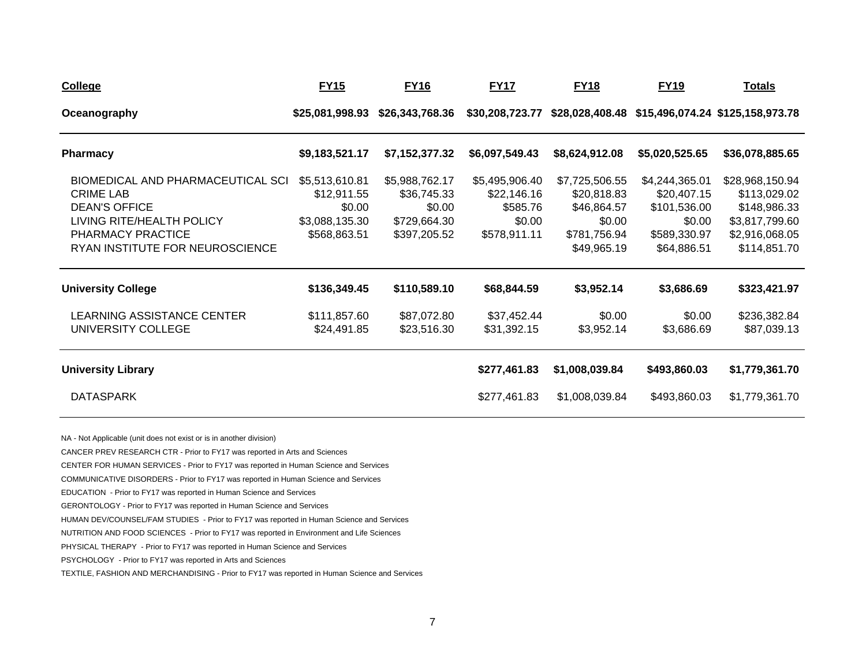| <b>College</b>                                                                                                                                                            | <b>FY15</b>                                                               | <b>FY16</b>                                                             | <b>FY17</b>                                                         | <b>FY18</b>                                                                           | <b>FY19</b>                                                                            | <b>Totals</b>                                                                                       |
|---------------------------------------------------------------------------------------------------------------------------------------------------------------------------|---------------------------------------------------------------------------|-------------------------------------------------------------------------|---------------------------------------------------------------------|---------------------------------------------------------------------------------------|----------------------------------------------------------------------------------------|-----------------------------------------------------------------------------------------------------|
| Oceanography                                                                                                                                                              | \$25,081,998.93                                                           | \$26,343,768.36                                                         | \$30,208,723.77                                                     |                                                                                       |                                                                                        | \$28,028,408.48 \$15,496,074.24 \$125,158,973.78                                                    |
| <b>Pharmacy</b>                                                                                                                                                           | \$9,183,521.17                                                            | \$7,152,377.32                                                          | \$6,097,549.43                                                      | \$8,624,912.08                                                                        | \$5,020,525.65                                                                         | \$36,078,885.65                                                                                     |
| <b>BIOMEDICAL AND PHARMACEUTICAL SCI</b><br><b>CRIME LAB</b><br><b>DEAN'S OFFICE</b><br>LIVING RITE/HEALTH POLICY<br>PHARMACY PRACTICE<br>RYAN INSTITUTE FOR NEUROSCIENCE | \$5,513,610.81<br>\$12,911.55<br>\$0.00<br>\$3,088,135.30<br>\$568,863.51 | \$5,988,762.17<br>\$36,745.33<br>\$0.00<br>\$729,664.30<br>\$397,205.52 | \$5,495,906.40<br>\$22,146.16<br>\$585.76<br>\$0.00<br>\$578,911.11 | \$7,725,506.55<br>\$20,818.83<br>\$46,864.57<br>\$0.00<br>\$781,756.94<br>\$49,965.19 | \$4,244,365.01<br>\$20,407.15<br>\$101,536.00<br>\$0.00<br>\$589,330.97<br>\$64,886.51 | \$28,968,150.94<br>\$113,029.02<br>\$148,986.33<br>\$3,817,799.60<br>\$2,916,068.05<br>\$114,851.70 |
| <b>University College</b>                                                                                                                                                 | \$136,349.45                                                              | \$110,589.10                                                            | \$68,844.59                                                         | \$3,952.14                                                                            | \$3,686.69                                                                             | \$323,421.97                                                                                        |
| LEARNING ASSISTANCE CENTER<br>UNIVERSITY COLLEGE                                                                                                                          | \$111,857.60<br>\$24,491.85                                               | \$87,072.80<br>\$23,516.30                                              | \$37,452.44<br>\$31,392.15                                          | \$0.00<br>\$3,952.14                                                                  | \$0.00<br>\$3,686.69                                                                   | \$236,382.84<br>\$87,039.13                                                                         |
| <b>University Library</b>                                                                                                                                                 |                                                                           |                                                                         | \$277,461.83                                                        | \$1,008,039.84                                                                        | \$493,860.03                                                                           | \$1,779,361.70                                                                                      |
| <b>DATASPARK</b>                                                                                                                                                          |                                                                           |                                                                         | \$277,461.83                                                        | \$1,008,039.84                                                                        | \$493,860.03                                                                           | \$1,779,361.70                                                                                      |

NA - Not Applicable (unit does not exist or is in another division)

CANCER PREV RESEARCH CTR - Prior to FY17 was reported in Arts and Sciences

CENTER FOR HUMAN SERVICES - Prior to FY17 was reported in Human Science and Services

COMMUNICATIVE DISORDERS - Prior to FY17 was reported in Human Science and Services

EDUCATION - Prior to FY17 was reported in Human Science and Services

GERONTOLOGY - Prior to FY17 was reported in Human Science and Services

HUMAN DEV/COUNSEL/FAM STUDIES - Prior to FY17 was reported in Human Science and Services

NUTRITION AND FOOD SCIENCES - Prior to FY17 was reported in Environment and Life Sciences

PHYSICAL THERAPY - Prior to FY17 was reported in Human Science and Services

PSYCHOLOGY - Prior to FY17 was reported in Arts and Sciences

TEXTILE, FASHION AND MERCHANDISING - Prior to FY17 was reported in Human Science and Services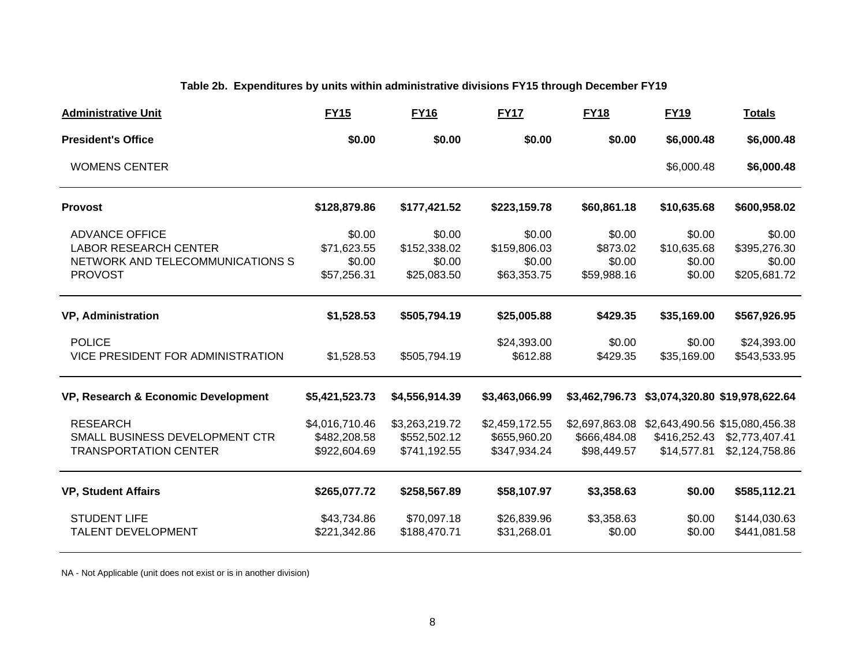### **Table 2b. Expenditures by units within administrative divisions FY15 through December FY19**

| <b>Administrative Unit</b>                                                                                  | <b>FY15</b>                                    | <b>FY16</b>                                     | <b>FY17</b>                                     | <b>FY18</b>                                   | <b>FY19</b>                               | <b>Totals</b>                                                      |
|-------------------------------------------------------------------------------------------------------------|------------------------------------------------|-------------------------------------------------|-------------------------------------------------|-----------------------------------------------|-------------------------------------------|--------------------------------------------------------------------|
| <b>President's Office</b>                                                                                   | \$0.00                                         | \$0.00                                          | \$0.00                                          | \$0.00                                        | \$6,000.48                                | \$6,000.48                                                         |
| <b>WOMENS CENTER</b>                                                                                        |                                                |                                                 |                                                 |                                               | \$6,000.48                                | \$6,000.48                                                         |
| <b>Provost</b>                                                                                              | \$128,879.86                                   | \$177,421.52                                    | \$223,159.78                                    | \$60,861.18                                   | \$10,635.68                               | \$600,958.02                                                       |
| <b>ADVANCE OFFICE</b><br><b>LABOR RESEARCH CENTER</b><br>NETWORK AND TELECOMMUNICATIONS S<br><b>PROVOST</b> | \$0.00<br>\$71,623.55<br>\$0.00<br>\$57,256.31 | \$0.00<br>\$152,338.02<br>\$0.00<br>\$25,083.50 | \$0.00<br>\$159,806.03<br>\$0.00<br>\$63,353.75 | \$0.00<br>\$873.02<br>\$0.00<br>\$59,988.16   | \$0.00<br>\$10,635.68<br>\$0.00<br>\$0.00 | \$0.00<br>\$395,276.30<br>\$0.00<br>\$205,681.72                   |
| <b>VP, Administration</b>                                                                                   | \$1,528.53                                     | \$505,794.19                                    | \$25,005.88                                     | \$429.35                                      | \$35,169.00                               | \$567,926.95                                                       |
| <b>POLICE</b><br>VICE PRESIDENT FOR ADMINISTRATION                                                          | \$1,528.53                                     | \$505,794.19                                    | \$24,393.00<br>\$612.88                         | \$0.00<br>\$429.35                            | \$0.00<br>\$35,169.00                     | \$24,393.00<br>\$543,533.95                                        |
| VP, Research & Economic Development                                                                         | \$5,421,523.73                                 | \$4,556,914.39                                  | \$3,463,066.99                                  |                                               |                                           | \$3,462,796.73 \$3,074,320.80 \$19,978,622.64                      |
| <b>RESEARCH</b><br>SMALL BUSINESS DEVELOPMENT CTR<br><b>TRANSPORTATION CENTER</b>                           | \$4,016,710.46<br>\$482,208.58<br>\$922,604.69 | \$3,263,219.72<br>\$552,502.12<br>\$741,192.55  | \$2,459,172.55<br>\$655,960.20<br>\$347,934.24  | \$2,697,863.08<br>\$666,484.08<br>\$98,449.57 | \$416,252.43<br>\$14,577.81               | \$2,643,490.56 \$15,080,456.38<br>\$2,773,407.41<br>\$2,124,758.86 |
| <b>VP, Student Affairs</b>                                                                                  | \$265,077.72                                   | \$258,567.89                                    | \$58,107.97                                     | \$3,358.63                                    | \$0.00                                    | \$585,112.21                                                       |
| <b>STUDENT LIFE</b><br><b>TALENT DEVELOPMENT</b>                                                            | \$43,734.86<br>\$221,342.86                    | \$70,097.18<br>\$188,470.71                     | \$26,839.96<br>\$31,268.01                      | \$3,358.63<br>\$0.00                          | \$0.00<br>\$0.00                          | \$144,030.63<br>\$441,081.58                                       |

NA - Not Applicable (unit does not exist or is in another division)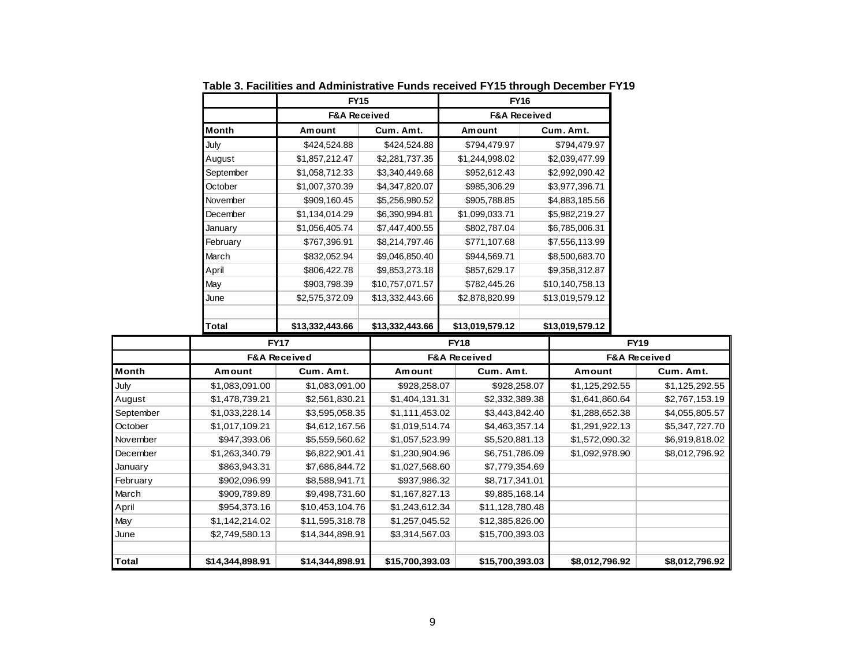|              | <b>FY15</b>             |                 | <b>FY16</b>             |                 |  |  |
|--------------|-------------------------|-----------------|-------------------------|-----------------|--|--|
|              | <b>F&amp;A Received</b> |                 | <b>F&amp;A Received</b> |                 |  |  |
| <b>Month</b> | Amount                  | Cum. Amt.       | Amount                  | Cum. Amt.       |  |  |
| July         | \$424,524.88            | \$424,524.88    | \$794,479.97            | \$794,479.97    |  |  |
| August       | \$1,857,212.47          | \$2,281,737.35  | \$1,244,998.02          | \$2,039,477.99  |  |  |
| September    | \$1,058,712.33          | \$3,340,449.68  | \$952,612.43            | \$2,992,090.42  |  |  |
| October      | \$1,007,370.39          | \$4,347,820.07  | \$985,306.29            | \$3,977,396.71  |  |  |
| November     | \$909,160.45            | \$5,256,980.52  | \$905,788.85            | \$4,883,185.56  |  |  |
| December     | \$1,134,014.29          | \$6,390,994.81  | \$1,099,033.71          | \$5,982,219.27  |  |  |
| January      | \$1,056,405.74          | \$7,447,400.55  | \$802,787.04            | \$6,785,006.31  |  |  |
| February     | \$767,396.91            | \$8,214,797.46  | \$771,107.68            | \$7,556,113.99  |  |  |
| March        | \$832,052.94            | \$9,046,850.40  | \$944,569.71            | \$8,500,683.70  |  |  |
| April        | \$806,422.78            | \$9,853,273.18  | \$857,629.17            | \$9,358,312.87  |  |  |
| May          | \$903,798.39            | \$10,757,071.57 | \$782,445.26            | \$10,140,758.13 |  |  |
| June         | \$2,575,372.09          | \$13,332,443.66 | \$2,878,820.99          | \$13,019,579.12 |  |  |
|              |                         |                 |                         |                 |  |  |
| Total        | \$13,332,443.66         | \$13,332,443.66 | \$13,019,579.12         | \$13,019,579.12 |  |  |

**Table 3. Facilities and Administrative Funds received FY15 through December FY19**

|           | <b>FY17</b>             |                 |                 | <b>FY18</b>             | <b>FY19</b>             |                |  |
|-----------|-------------------------|-----------------|-----------------|-------------------------|-------------------------|----------------|--|
|           | <b>F&amp;A Received</b> |                 |                 | <b>F&amp;A Received</b> | <b>F&amp;A Received</b> |                |  |
| Month     | Amount                  | Cum. Amt.       | Amount          | Cum. Amt.               | Amount                  | Cum. Amt.      |  |
| July      | \$1,083,091.00          | \$1,083,091.00  | \$928,258.07    | \$928,258.07            | \$1,125,292.55          | \$1,125,292.55 |  |
| August    | \$1,478,739.21          | \$2,561,830.21  | \$1,404,131.31  | \$2,332,389.38          | \$1,641,860.64          | \$2,767,153.19 |  |
| September | \$1,033,228.14          | \$3,595,058.35  | \$1,111,453.02  | \$3,443,842.40          | \$1,288,652.38          | \$4,055,805.57 |  |
| October   | \$1,017,109.21          | \$4,612,167.56  | \$1,019,514.74  | \$4,463,357.14          | \$1,291,922.13          | \$5,347,727.70 |  |
| November  | \$947,393.06            | \$5,559,560.62  | \$1,057,523.99  | \$5,520,881.13          | \$1,572,090.32          | \$6,919,818.02 |  |
| December  | \$1,263,340.79          | \$6,822,901.41  | \$1,230,904.96  | \$6,751,786.09          | \$1,092,978.90          | \$8,012,796.92 |  |
| January   | \$863,943.31            | \$7,686,844.72  | \$1,027,568.60  | \$7,779,354.69          |                         |                |  |
| February  | \$902,096.99            | \$8,588,941.71  | \$937,986.32    | \$8,717,341.01          |                         |                |  |
| March     | \$909,789.89            | \$9,498,731.60  | \$1,167,827.13  | \$9,885,168.14          |                         |                |  |
| April     | \$954,373.16            | \$10,453,104.76 | \$1,243,612.34  | \$11,128,780.48         |                         |                |  |
| May       | \$1,142,214.02          | \$11,595,318.78 | \$1,257,045.52  | \$12,385,826.00         |                         |                |  |
| June      | \$2,749,580.13          | \$14,344,898.91 | \$3,314,567.03  | \$15,700,393.03         |                         |                |  |
|           |                         |                 |                 |                         |                         |                |  |
| Total     | \$14,344,898.91         | \$14,344,898.91 | \$15,700,393.03 | \$15,700,393.03         | \$8,012,796.92          | \$8,012,796.92 |  |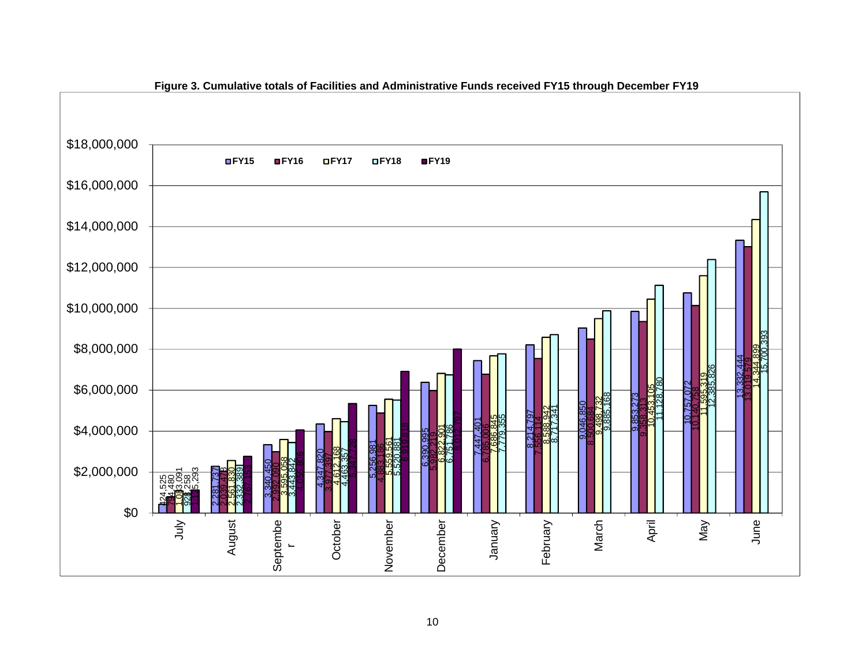

**Figure 3. Cumulative totals of Facilities and Administrative Funds received FY15 through December FY19**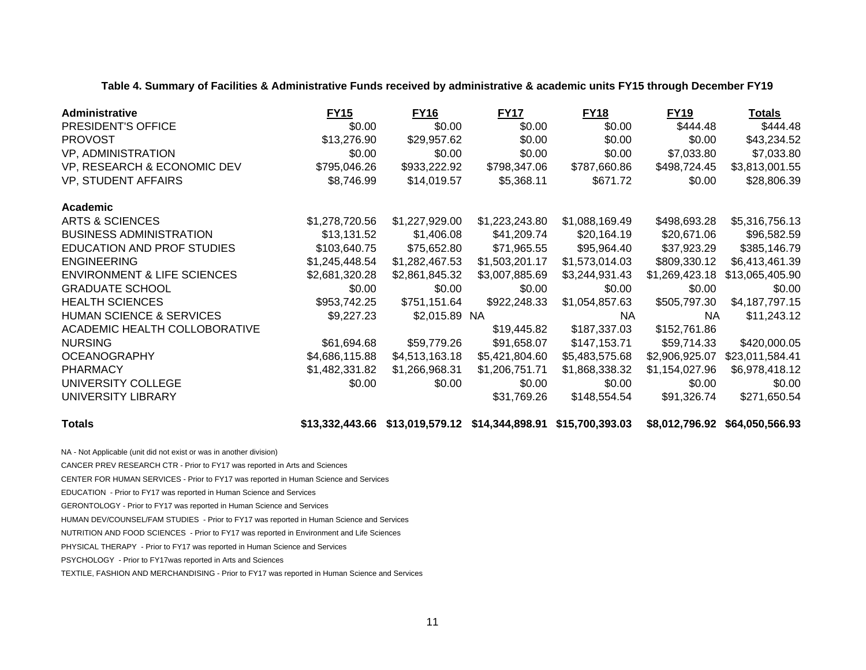**Table 4. Summary of Facilities & Administrative Funds received by administrative & academic units FY15 through December FY19**

| Administrative                         | <b>FY15</b>    | <b>FY16</b>    | <b>FY17</b>    | <b>FY18</b>    | <b>FY19</b>    | <b>Totals</b>   |
|----------------------------------------|----------------|----------------|----------------|----------------|----------------|-----------------|
| PRESIDENT'S OFFICE                     | \$0.00         | \$0.00         | \$0.00         | \$0.00         | \$444.48       | \$444.48        |
| <b>PROVOST</b>                         | \$13,276.90    | \$29,957.62    | \$0.00         | \$0.00         | \$0.00         | \$43,234.52     |
| VP, ADMINISTRATION                     | \$0.00         | \$0.00         | \$0.00         | \$0.00         | \$7,033.80     | \$7,033.80      |
| VP, RESEARCH & ECONOMIC DEV            | \$795,046.26   | \$933,222.92   | \$798,347.06   | \$787,660.86   | \$498,724.45   | \$3,813,001.55  |
| <b>VP, STUDENT AFFAIRS</b>             | \$8,746.99     | \$14,019.57    | \$5,368.11     | \$671.72       | \$0.00         | \$28,806.39     |
| Academic                               |                |                |                |                |                |                 |
| ARTS & SCIENCES                        | \$1,278,720.56 | \$1,227,929.00 | \$1,223,243.80 | \$1,088,169.49 | \$498,693.28   | \$5,316,756.13  |
| <b>BUSINESS ADMINISTRATION</b>         | \$13,131.52    | \$1,406.08     | \$41,209.74    | \$20,164.19    | \$20,671.06    | \$96,582.59     |
| EDUCATION AND PROF STUDIES             | \$103,640.75   | \$75,652.80    | \$71,965.55    | \$95,964.40    | \$37,923.29    | \$385,146.79    |
| <b>ENGINEERING</b>                     | \$1,245,448.54 | \$1,282,467.53 | \$1,503,201.17 | \$1,573,014.03 | \$809,330.12   | \$6,413,461.39  |
| <b>ENVIRONMENT &amp; LIFE SCIENCES</b> | \$2,681,320.28 | \$2,861,845.32 | \$3,007,885.69 | \$3,244,931.43 | \$1,269,423.18 | \$13,065,405.90 |
| <b>GRADUATE SCHOOL</b>                 | \$0.00         | \$0.00         | \$0.00         | \$0.00         | \$0.00         | \$0.00          |
| <b>HEALTH SCIENCES</b>                 | \$953,742.25   | \$751,151.64   | \$922,248.33   | \$1,054,857.63 | \$505,797.30   | \$4,187,797.15  |
| <b>HUMAN SCIENCE &amp; SERVICES</b>    | \$9,227.23     | \$2,015.89 NA  |                | NA.            | <b>NA</b>      | \$11,243.12     |
| ACADEMIC HEALTH COLLOBORATIVE          |                |                | \$19,445.82    | \$187,337.03   | \$152,761.86   |                 |
| <b>NURSING</b>                         | \$61,694.68    | \$59,779.26    | \$91,658.07    | \$147,153.71   | \$59,714.33    | \$420,000.05    |
| <b>OCEANOGRAPHY</b>                    | \$4,686,115.88 | \$4,513,163.18 | \$5,421,804.60 | \$5,483,575.68 | \$2,906,925.07 | \$23,011,584.41 |
| <b>PHARMACY</b>                        | \$1,482,331.82 | \$1,266,968.31 | \$1,206,751.71 | \$1,868,338.32 | \$1,154,027.96 | \$6,978,418.12  |
| UNIVERSITY COLLEGE                     | \$0.00         | \$0.00         | \$0.00         | \$0.00         | \$0.00         | \$0.00          |
| UNIVERSITY LIBRARY                     |                |                | \$31,769.26    | \$148,554.54   | \$91,326.74    | \$271,650.54    |

**Totals \$13,332,443.66 \$13,019,579.12 \$14,344,898.91 \$15,700,393.03 \$8,012,796.92 \$64,050,566.93**

NA - Not Applicable (unit did not exist or was in another division)

CANCER PREV RESEARCH CTR - Prior to FY17 was reported in Arts and Sciences

CENTER FOR HUMAN SERVICES - Prior to FY17 was reported in Human Science and Services

EDUCATION - Prior to FY17 was reported in Human Science and Services

GERONTOLOGY - Prior to FY17 was reported in Human Science and Services

HUMAN DEV/COUNSEL/FAM STUDIES - Prior to FY17 was reported in Human Science and Services

NUTRITION AND FOOD SCIENCES - Prior to FY17 was reported in Environment and Life Sciences

PHYSICAL THERAPY - Prior to FY17 was reported in Human Science and Services

PSYCHOLOGY - Prior to FY17was reported in Arts and Sciences

TEXTILE, FASHION AND MERCHANDISING - Prior to FY17 was reported in Human Science and Services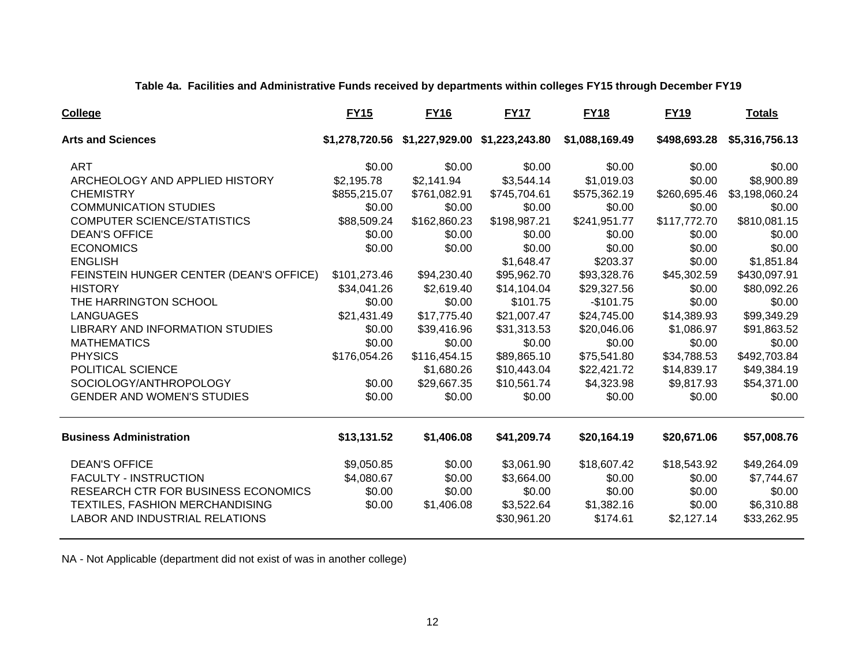**Table 4a. Facilities and Administrative Funds received by departments within colleges FY15 through December FY19**

| <b>College</b>                          | <b>FY15</b>    | <b>FY16</b>    | <b>FY17</b>    | <b>FY18</b>    | <b>FY19</b>  | <b>Totals</b>  |
|-----------------------------------------|----------------|----------------|----------------|----------------|--------------|----------------|
| <b>Arts and Sciences</b>                | \$1,278,720.56 | \$1,227,929.00 | \$1,223,243.80 | \$1,088,169.49 | \$498,693.28 | \$5,316,756.13 |
| <b>ART</b>                              | \$0.00         | \$0.00         | \$0.00         | \$0.00         | \$0.00       | \$0.00         |
| ARCHEOLOGY AND APPLIED HISTORY          | \$2,195.78     | \$2,141.94     | \$3,544.14     | \$1,019.03     | \$0.00       | \$8,900.89     |
| <b>CHEMISTRY</b>                        | \$855,215.07   | \$761,082.91   | \$745,704.61   | \$575,362.19   | \$260,695.46 | \$3,198,060.24 |
| <b>COMMUNICATION STUDIES</b>            | \$0.00         | \$0.00         | \$0.00         | \$0.00         | \$0.00       | \$0.00         |
| <b>COMPUTER SCIENCE/STATISTICS</b>      | \$88,509.24    | \$162,860.23   | \$198,987.21   | \$241,951.77   | \$117,772.70 | \$810,081.15   |
| <b>DEAN'S OFFICE</b>                    | \$0.00         | \$0.00         | \$0.00         | \$0.00         | \$0.00       | \$0.00         |
| <b>ECONOMICS</b>                        | \$0.00         | \$0.00         | \$0.00         | \$0.00         | \$0.00       | \$0.00         |
| <b>ENGLISH</b>                          |                |                | \$1,648.47     | \$203.37       | \$0.00       | \$1,851.84     |
| FEINSTEIN HUNGER CENTER (DEAN'S OFFICE) | \$101,273.46   | \$94,230.40    | \$95,962.70    | \$93,328.76    | \$45,302.59  | \$430,097.91   |
| <b>HISTORY</b>                          | \$34,041.26    | \$2,619.40     | \$14,104.04    | \$29,327.56    | \$0.00       | \$80,092.26    |
| THE HARRINGTON SCHOOL                   | \$0.00         | \$0.00         | \$101.75       | $-$101.75$     | \$0.00       | \$0.00         |
| <b>LANGUAGES</b>                        | \$21,431.49    | \$17,775.40    | \$21,007.47    | \$24,745.00    | \$14,389.93  | \$99,349.29    |
| <b>LIBRARY AND INFORMATION STUDIES</b>  | \$0.00         | \$39,416.96    | \$31,313.53    | \$20,046.06    | \$1,086.97   | \$91,863.52    |
| <b>MATHEMATICS</b>                      | \$0.00         | \$0.00         | \$0.00         | \$0.00         | \$0.00       | \$0.00         |
| <b>PHYSICS</b>                          | \$176,054.26   | \$116,454.15   | \$89,865.10    | \$75,541.80    | \$34,788.53  | \$492,703.84   |
| POLITICAL SCIENCE                       |                | \$1,680.26     | \$10,443.04    | \$22,421.72    | \$14,839.17  | \$49,384.19    |
| SOCIOLOGY/ANTHROPOLOGY                  | \$0.00         | \$29,667.35    | \$10,561.74    | \$4,323.98     | \$9,817.93   | \$54,371.00    |
| <b>GENDER AND WOMEN'S STUDIES</b>       | \$0.00         | \$0.00         | \$0.00         | \$0.00         | \$0.00       | \$0.00         |
| <b>Business Administration</b>          | \$13,131.52    | \$1,406.08     | \$41,209.74    | \$20,164.19    | \$20,671.06  | \$57,008.76    |
| <b>DEAN'S OFFICE</b>                    | \$9,050.85     | \$0.00         | \$3,061.90     | \$18,607.42    | \$18,543.92  | \$49,264.09    |
| <b>FACULTY - INSTRUCTION</b>            | \$4,080.67     | \$0.00         | \$3,664.00     | \$0.00         | \$0.00       | \$7,744.67     |
| RESEARCH CTR FOR BUSINESS ECONOMICS     | \$0.00         | \$0.00         | \$0.00         | \$0.00         | \$0.00       | \$0.00         |
| TEXTILES, FASHION MERCHANDISING         | \$0.00         | \$1,406.08     | \$3,522.64     | \$1,382.16     | \$0.00       | \$6,310.88     |
| LABOR AND INDUSTRIAL RELATIONS          |                |                | \$30,961.20    | \$174.61       | \$2,127.14   | \$33,262.95    |

NA - Not Applicable (department did not exist of was in another college)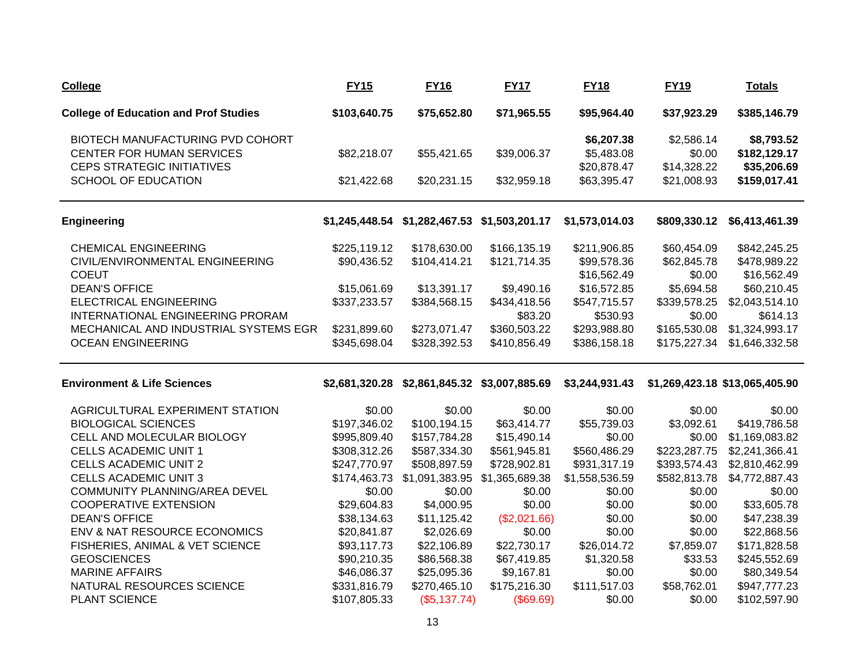| <b>College</b>                               | <b>FY15</b>    | <b>FY16</b>                   | <b>FY17</b>    | <b>FY18</b>    | <b>FY19</b>  | <b>Totals</b>                  |
|----------------------------------------------|----------------|-------------------------------|----------------|----------------|--------------|--------------------------------|
| <b>College of Education and Prof Studies</b> | \$103,640.75   | \$75,652.80                   | \$71,965.55    | \$95,964.40    | \$37,923.29  | \$385,146.79                   |
| BIOTECH MANUFACTURING PVD COHORT             |                |                               |                | \$6,207.38     | \$2,586.14   | \$8,793.52                     |
| CENTER FOR HUMAN SERVICES                    | \$82,218.07    | \$55,421.65                   | \$39,006.37    | \$5,483.08     | \$0.00       | \$182,129.17                   |
| <b>CEPS STRATEGIC INITIATIVES</b>            |                |                               |                | \$20,878.47    | \$14,328.22  | \$35,206.69                    |
| SCHOOL OF EDUCATION                          | \$21,422.68    | \$20,231.15                   | \$32,959.18    | \$63,395.47    | \$21,008.93  | \$159,017.41                   |
| <b>Engineering</b>                           | \$1,245,448.54 | \$1,282,467.53                | \$1,503,201.17 | \$1,573,014.03 | \$809,330.12 | \$6,413,461.39                 |
| <b>CHEMICAL ENGINEERING</b>                  | \$225,119.12   | \$178,630.00                  | \$166,135.19   | \$211,906.85   | \$60,454.09  | \$842,245.25                   |
| CIVIL/ENVIRONMENTAL ENGINEERING              | \$90,436.52    | \$104,414.21                  | \$121,714.35   | \$99,578.36    | \$62,845.78  | \$478,989.22                   |
| <b>COEUT</b>                                 |                |                               |                | \$16,562.49    | \$0.00       | \$16,562.49                    |
| <b>DEAN'S OFFICE</b>                         | \$15,061.69    | \$13,391.17                   | \$9,490.16     | \$16,572.85    | \$5,694.58   | \$60,210.45                    |
| <b>ELECTRICAL ENGINEERING</b>                | \$337,233.57   | \$384,568.15                  | \$434,418.56   | \$547,715.57   | \$339,578.25 | \$2,043,514.10                 |
| INTERNATIONAL ENGINEERING PRORAM             |                |                               | \$83.20        | \$530.93       | \$0.00       | \$614.13                       |
| MECHANICAL AND INDUSTRIAL SYSTEMS EGR        | \$231,899.60   | \$273,071.47                  | \$360,503.22   | \$293,988.80   | \$165,530.08 | \$1,324,993.17                 |
| <b>OCEAN ENGINEERING</b>                     | \$345,698.04   | \$328,392.53                  | \$410,856.49   | \$386,158.18   | \$175,227.34 | \$1,646,332.58                 |
| <b>Environment &amp; Life Sciences</b>       | \$2,681,320.28 | \$2,861,845.32 \$3,007,885.69 |                | \$3,244,931.43 |              | \$1,269,423.18 \$13,065,405.90 |
| AGRICULTURAL EXPERIMENT STATION              | \$0.00         | \$0.00                        | \$0.00         | \$0.00         | \$0.00       | \$0.00                         |
| <b>BIOLOGICAL SCIENCES</b>                   | \$197,346.02   | \$100,194.15                  | \$63,414.77    | \$55,739.03    | \$3,092.61   | \$419,786.58                   |
| CELL AND MOLECULAR BIOLOGY                   | \$995,809.40   | \$157,784.28                  | \$15,490.14    | \$0.00         | \$0.00       | \$1,169,083.82                 |
| <b>CELLS ACADEMIC UNIT 1</b>                 | \$308,312.26   | \$587,334.30                  | \$561,945.81   | \$560,486.29   | \$223,287.75 | \$2,241,366.41                 |
| <b>CELLS ACADEMIC UNIT 2</b>                 | \$247,770.97   | \$508,897.59                  | \$728,902.81   | \$931,317.19   | \$393,574.43 | \$2,810,462.99                 |
| <b>CELLS ACADEMIC UNIT 3</b>                 | \$174,463.73   | \$1,091,383.95                | \$1,365,689.38 | \$1,558,536.59 | \$582,813.78 | \$4,772,887.43                 |
| COMMUNITY PLANNING/AREA DEVEL                | \$0.00         | \$0.00                        | \$0.00         | \$0.00         | \$0.00       | \$0.00                         |
| <b>COOPERATIVE EXTENSION</b>                 | \$29,604.83    | \$4,000.95                    | \$0.00         | \$0.00         | \$0.00       | \$33,605.78                    |
| <b>DEAN'S OFFICE</b>                         | \$38,134.63    | \$11,125.42                   | (\$2,021.66)   | \$0.00         | \$0.00       | \$47,238.39                    |
| ENV & NAT RESOURCE ECONOMICS                 | \$20,841.87    | \$2,026.69                    | \$0.00         | \$0.00         | \$0.00       | \$22,868.56                    |
| FISHERIES, ANIMAL & VET SCIENCE              | \$93,117.73    | \$22,106.89                   | \$22,730.17    | \$26,014.72    | \$7,859.07   | \$171,828.58                   |
| <b>GEOSCIENCES</b>                           | \$90,210.35    | \$86,568.38                   | \$67,419.85    | \$1,320.58     | \$33.53      | \$245,552.69                   |
| <b>MARINE AFFAIRS</b>                        | \$46,086.37    | \$25,095.36                   | \$9,167.81     | \$0.00         | \$0.00       | \$80,349.54                    |
| NATURAL RESOURCES SCIENCE                    | \$331,816.79   | \$270,465.10                  | \$175,216.30   | \$111,517.03   | \$58,762.01  | \$947,777.23                   |
| PLANT SCIENCE                                | \$107,805.33   | (\$5,137.74)                  | (\$69.69)      | \$0.00         | \$0.00       | \$102,597.90                   |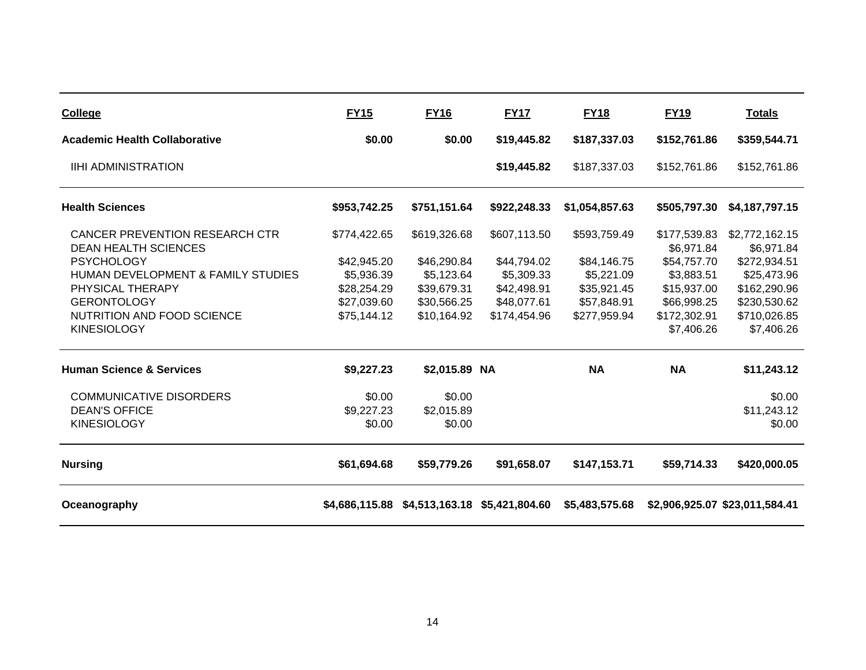| <b>College</b>                                                       | <b>FY15</b>  | <b>FY16</b>   | <b>FY17</b>                                  | <b>FY18</b>    | <b>FY19</b>                | <b>Totals</b>                  |
|----------------------------------------------------------------------|--------------|---------------|----------------------------------------------|----------------|----------------------------|--------------------------------|
| <b>Academic Health Collaborative</b>                                 | \$0.00       | \$0.00        | \$19,445.82                                  | \$187,337.03   | \$152,761.86               | \$359,544.71                   |
| <b>IIHI ADMINISTRATION</b>                                           |              |               | \$19,445.82                                  | \$187,337.03   | \$152,761.86               | \$152,761.86                   |
| <b>Health Sciences</b>                                               | \$953,742.25 | \$751,151.64  | \$922,248.33                                 | \$1,054,857.63 | \$505,797.30               | \$4,187,797.15                 |
| <b>CANCER PREVENTION RESEARCH CTR</b><br><b>DEAN HEALTH SCIENCES</b> | \$774,422.65 | \$619,326.68  | \$607,113.50                                 | \$593,759.49   | \$177,539.83<br>\$6,971.84 | \$2,772,162.15<br>\$6,971.84   |
| <b>PSYCHOLOGY</b>                                                    | \$42,945.20  | \$46,290.84   | \$44,794.02                                  | \$84,146.75    | \$54,757.70                | \$272,934.51                   |
| HUMAN DEVELOPMENT & FAMILY STUDIES                                   | \$5,936.39   | \$5,123.64    | \$5,309.33                                   | \$5,221.09     | \$3,883.51                 | \$25,473.96                    |
| PHYSICAL THERAPY                                                     | \$28,254.29  | \$39,679.31   | \$42,498.91                                  | \$35,921.45    | \$15,937.00                | \$162,290.96                   |
| <b>GERONTOLOGY</b>                                                   | \$27,039.60  | \$30,566.25   | \$48,077.61                                  | \$57,848.91    | \$66,998.25                | \$230,530.62                   |
| NUTRITION AND FOOD SCIENCE                                           | \$75,144.12  | \$10,164.92   | \$174,454.96                                 | \$277,959.94   | \$172,302.91               | \$710,026.85                   |
| <b>KINESIOLOGY</b>                                                   |              |               |                                              |                | \$7,406.26                 | \$7,406.26                     |
| <b>Human Science &amp; Services</b>                                  | \$9,227.23   | \$2,015.89 NA |                                              | <b>NA</b>      | <b>NA</b>                  | \$11,243.12                    |
| <b>COMMUNICATIVE DISORDERS</b>                                       | \$0.00       | \$0.00        |                                              |                |                            | \$0.00                         |
| <b>DEAN'S OFFICE</b>                                                 | \$9,227.23   | \$2,015.89    |                                              |                |                            | \$11,243.12                    |
| <b>KINESIOLOGY</b>                                                   | \$0.00       | \$0.00        |                                              |                |                            | \$0.00                         |
| <b>Nursing</b>                                                       | \$61,694.68  | \$59,779.26   | \$91,658.07                                  | \$147,153.71   | \$59,714.33                | \$420,000.05                   |
| Oceanography                                                         |              |               | \$4,686,115.88 \$4,513,163.18 \$5,421,804.60 | \$5,483,575.68 |                            | \$2,906,925.07 \$23,011,584.41 |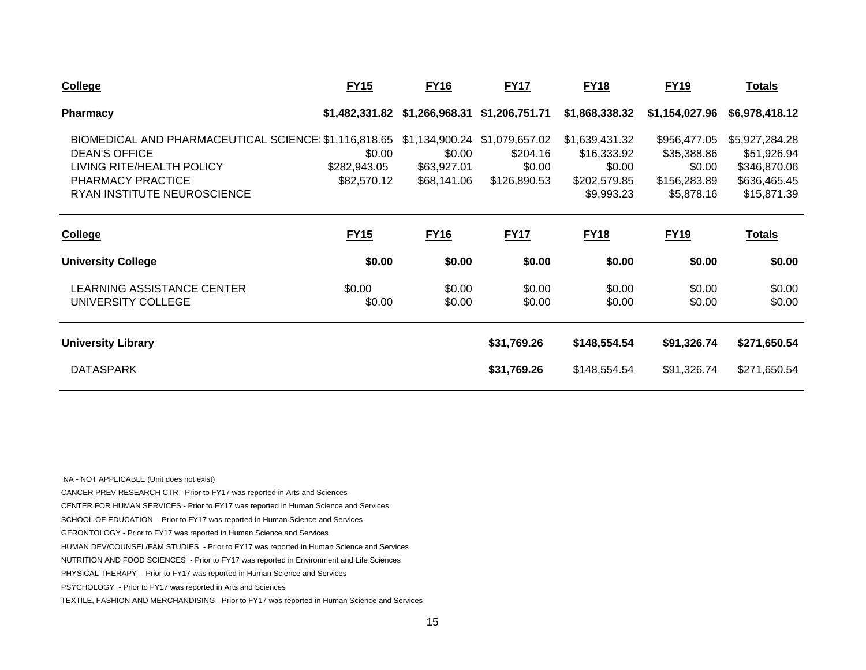| <b>College</b>                                                                                                                                                | <b>FY15</b>                           | <b>FY16</b>                                            | <b>FY17</b>                                          | <b>FY18</b>                                                           | <b>FY19</b>                                                         | <u>Totals</u>                                                                |
|---------------------------------------------------------------------------------------------------------------------------------------------------------------|---------------------------------------|--------------------------------------------------------|------------------------------------------------------|-----------------------------------------------------------------------|---------------------------------------------------------------------|------------------------------------------------------------------------------|
| <b>Pharmacy</b>                                                                                                                                               | \$1,482,331.82                        | \$1,266,968.31                                         | \$1,206,751.71                                       | \$1,868,338.32                                                        | \$1,154,027.96                                                      | \$6,978,418.12                                                               |
| BIOMEDICAL AND PHARMACEUTICAL SCIENCE \$1,116,818.65<br><b>DEAN'S OFFICE</b><br>LIVING RITE/HEALTH POLICY<br>PHARMACY PRACTICE<br>RYAN INSTITUTE NEUROSCIENCE | \$0.00<br>\$282,943.05<br>\$82,570.12 | \$1,134,900.24<br>\$0.00<br>\$63,927.01<br>\$68,141.06 | \$1,079,657.02<br>\$204.16<br>\$0.00<br>\$126,890.53 | \$1,639,431.32<br>\$16,333.92<br>\$0.00<br>\$202,579.85<br>\$9,993.23 | \$956,477.05<br>\$35,388.86<br>\$0.00<br>\$156,283.89<br>\$5,878.16 | \$5,927,284.28<br>\$51,926.94<br>\$346,870.06<br>\$636,465.45<br>\$15,871.39 |
| <b>College</b>                                                                                                                                                | <b>FY15</b>                           | <b>FY16</b>                                            | <b>FY17</b>                                          | <b>FY18</b>                                                           | <b>FY19</b>                                                         | <u>Totals</u>                                                                |
| <b>University College</b>                                                                                                                                     | \$0.00                                | \$0.00                                                 | \$0.00                                               | \$0.00                                                                | \$0.00                                                              | \$0.00                                                                       |
| <b>LEARNING ASSISTANCE CENTER</b><br>UNIVERSITY COLLEGE                                                                                                       | \$0.00<br>\$0.00                      | \$0.00<br>\$0.00                                       | \$0.00<br>\$0.00                                     | \$0.00<br>\$0.00                                                      | \$0.00<br>\$0.00                                                    | \$0.00<br>\$0.00                                                             |
| <b>University Library</b>                                                                                                                                     |                                       |                                                        | \$31,769.26                                          | \$148,554.54                                                          | \$91,326.74                                                         | \$271,650.54                                                                 |
| <b>DATASPARK</b>                                                                                                                                              |                                       |                                                        | \$31,769.26                                          | \$148,554.54                                                          | \$91,326.74                                                         | \$271,650.54                                                                 |

 NA - NOT APPLICABLE (Unit does not exist) CANCER PREV RESEARCH CTR - Prior to FY17 was reported in Arts and Sciences CENTER FOR HUMAN SERVICES - Prior to FY17 was reported in Human Science and Services SCHOOL OF EDUCATION - Prior to FY17 was reported in Human Science and Services GERONTOLOGY - Prior to FY17 was reported in Human Science and Services HUMAN DEV/COUNSEL/FAM STUDIES - Prior to FY17 was reported in Human Science and Services NUTRITION AND FOOD SCIENCES - Prior to FY17 was reported in Environment and Life Sciences PHYSICAL THERAPY - Prior to FY17 was reported in Human Science and Services PSYCHOLOGY - Prior to FY17 was reported in Arts and Sciences TEXTILE, FASHION AND MERCHANDISING - Prior to FY17 was reported in Human Science and Services